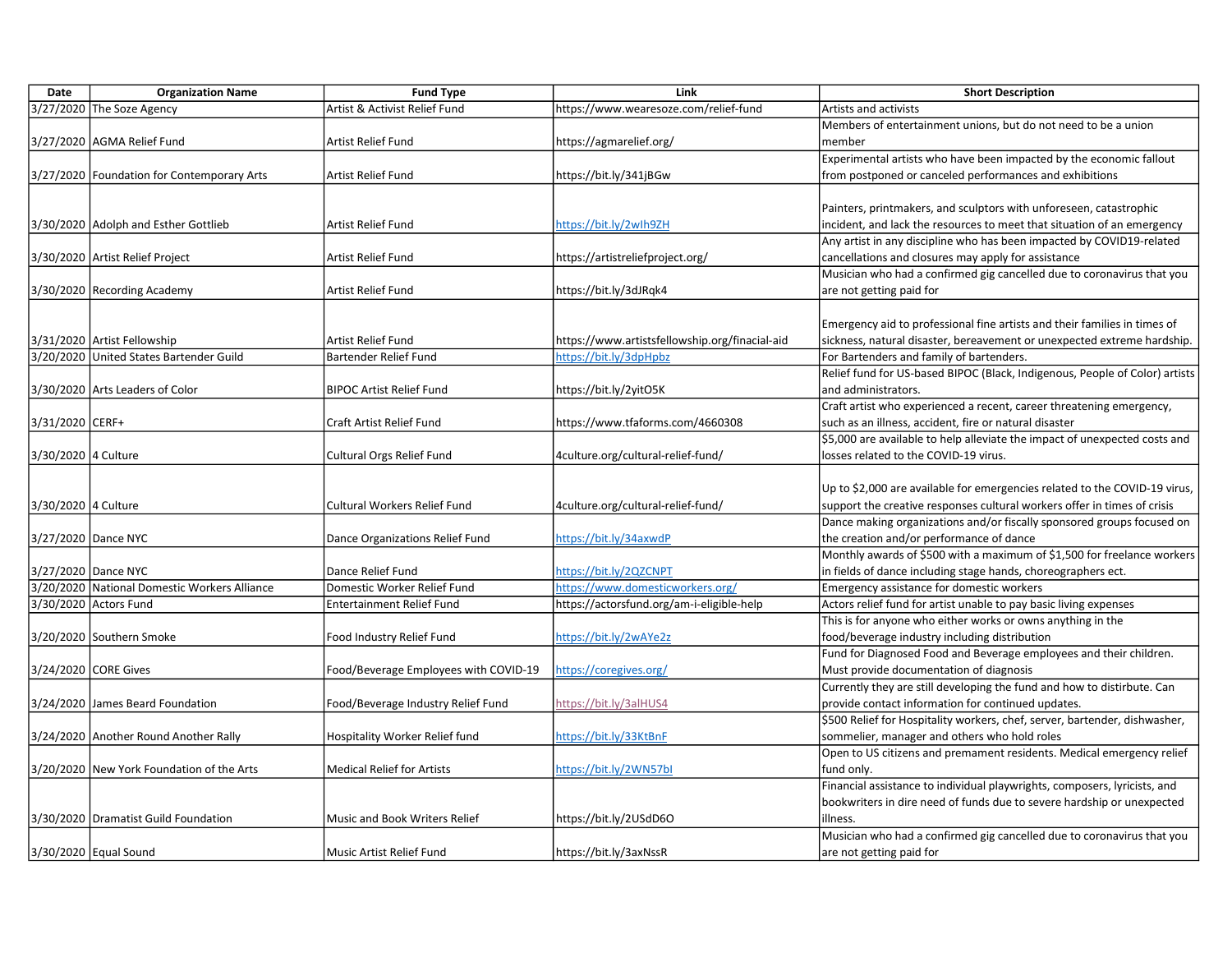| Date                | <b>Organization Name</b>                     | <b>Fund Type</b>                      | Link                                           | <b>Short Description</b>                                                                |
|---------------------|----------------------------------------------|---------------------------------------|------------------------------------------------|-----------------------------------------------------------------------------------------|
|                     | 3/27/2020 The Soze Agency                    | Artist & Activist Relief Fund         | https://www.wearesoze.com/relief-fund          | Artists and activists                                                                   |
|                     |                                              |                                       |                                                | Members of entertainment unions, but do not need to be a union                          |
|                     | 3/27/2020 AGMA Relief Fund                   | Artist Relief Fund                    | https://agmarelief.org/                        | member                                                                                  |
|                     |                                              |                                       |                                                | Experimental artists who have been impacted by the economic fallout                     |
|                     | 3/27/2020 Foundation for Contemporary Arts   | Artist Relief Fund                    | https://bit.ly/341jBGw                         | from postponed or canceled performances and exhibitions                                 |
|                     |                                              |                                       |                                                |                                                                                         |
|                     |                                              |                                       |                                                | Painters, printmakers, and sculptors with unforeseen, catastrophic                      |
|                     | 3/30/2020 Adolph and Esther Gottlieb         | Artist Relief Fund                    | https://bit.ly/2wlh9ZH                         | incident, and lack the resources to meet that situation of an emergency                 |
|                     |                                              |                                       |                                                | Any artist in any discipline who has been impacted by COVID19-related                   |
|                     | 3/30/2020   Artist Relief Project            | Artist Relief Fund                    | https://artistreliefproject.org/               | cancellations and closures may apply for assistance                                     |
|                     |                                              |                                       |                                                | Musician who had a confirmed gig cancelled due to coronavirus that you                  |
|                     | 3/30/2020 Recording Academy                  | Artist Relief Fund                    | https://bit.ly/3dJRqk4                         | are not getting paid for                                                                |
|                     |                                              |                                       |                                                |                                                                                         |
|                     |                                              |                                       |                                                | Emergency aid to professional fine artists and their families in times of               |
|                     | 3/31/2020   Artist Fellowship                | Artist Relief Fund                    | https://www.artistsfellowship.org/finacial-aid | sickness, natural disaster, bereavement or unexpected extreme hardship.                 |
|                     | 3/20/2020 United States Bartender Guild      | <b>Bartender Relief Fund</b>          | https://bit.ly/3dpHpbz                         | For Bartenders and family of bartenders.                                                |
|                     |                                              |                                       |                                                | Relief fund for US-based BIPOC (Black, Indigenous, People of Color) artists             |
|                     | 3/30/2020 Arts Leaders of Color              | <b>BIPOC Artist Relief Fund</b>       | https://bit.ly/2yitO5K                         | and administrators.                                                                     |
|                     |                                              |                                       |                                                | Craft artist who experienced a recent, career threatening emergency,                    |
| 3/31/2020 CERF+     |                                              | Craft Artist Relief Fund              | https://www.tfaforms.com/4660308               | such as an illness, accident, fire or natural disaster                                  |
|                     |                                              |                                       |                                                | \$5,000 are available to help alleviate the impact of unexpected costs and              |
| 3/30/2020 4 Culture |                                              | Cultural Orgs Relief Fund             | 4culture.org/cultural-relief-fund/             | losses related to the COVID-19 virus.                                                   |
|                     |                                              |                                       |                                                |                                                                                         |
|                     |                                              |                                       |                                                | Up to \$2,000 are available for emergencies related to the COVID-19 virus,              |
| 3/30/2020 4 Culture |                                              | <b>Cultural Workers Relief Fund</b>   | 4culture.org/cultural-relief-fund/             | support the creative responses cultural workers offer in times of crisis                |
|                     |                                              |                                       |                                                | Dance making organizations and/or fiscally sponsored groups focused on                  |
|                     | 3/27/2020 Dance NYC                          | Dance Organizations Relief Fund       | https://bit.ly/34axwdP                         | the creation and/or performance of dance                                                |
|                     |                                              |                                       |                                                | Monthly awards of \$500 with a maximum of \$1,500 for freelance workers                 |
|                     | 3/27/2020 Dance NYC                          | Dance Relief Fund                     | https://bit.ly/2QZCNPT                         | in fields of dance including stage hands, choreographers ect.                           |
|                     | 3/20/2020 National Domestic Workers Alliance | Domestic Worker Relief Fund           | https://www.domesticworkers.org/               | Emergency assistance for domestic workers                                               |
|                     | 3/30/2020 Actors Fund                        | <b>Entertainment Relief Fund</b>      | https://actorsfund.org/am-i-eligible-help      | Actors relief fund for artist unable to pay basic living expenses                       |
|                     |                                              |                                       |                                                | This is for anyone who either works or owns anything in the                             |
|                     | 3/20/2020 Southern Smoke                     | Food Industry Relief Fund             | https://bit.ly/2wAYe2z                         | food/beverage industry including distribution                                           |
|                     |                                              |                                       |                                                | Fund for Diagnosed Food and Beverage employees and their children.                      |
|                     | 3/24/2020 CORE Gives                         | Food/Beverage Employees with COVID-19 | https://coregives.org/                         | Must provide documentation of diagnosis                                                 |
|                     |                                              |                                       |                                                | Currently they are still developing the fund and how to distirbute. Can                 |
|                     | 3/24/2020 James Beard Foundation             | Food/Beverage Industry Relief Fund    | https://bit.ly/3alHUS4                         | provide contact information for continued updates.                                      |
|                     |                                              |                                       |                                                | \$500 Relief for Hospitality workers, chef, server, bartender, dishwasher,              |
|                     | 3/24/2020 Another Round Another Rally        | Hospitality Worker Relief fund        | https://bit.ly/33KtBnF                         | sommelier, manager and others who hold roles                                            |
|                     |                                              |                                       |                                                |                                                                                         |
|                     |                                              | <b>Medical Relief for Artists</b>     | https://bit.ly/2WN57bl                         | Open to US citizens and premament residents. Medical emergency relief                   |
|                     | 3/20/2020 New York Foundation of the Arts    |                                       |                                                | fund only.<br>Financial assistance to individual playwrights, composers, lyricists, and |
|                     |                                              |                                       |                                                |                                                                                         |
|                     |                                              |                                       |                                                | bookwriters in dire need of funds due to severe hardship or unexpected                  |
|                     | 3/30/2020 Dramatist Guild Foundation         | Music and Book Writers Relief         | https://bit.ly/2USdD6O                         | illness.                                                                                |
|                     |                                              |                                       |                                                | Musician who had a confirmed gig cancelled due to coronavirus that you                  |
|                     | 3/30/2020 Equal Sound                        | Music Artist Relief Fund              | https://bit.ly/3axNssR                         | are not getting paid for                                                                |